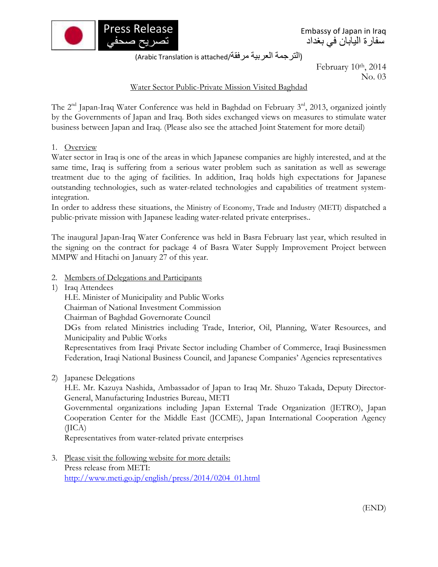

Embassy of Japan in Iraq سفارة اليابان في بغداد

(الترجمة العربية مرفقة/Arabic Translation is attached)

February 10th, 2014 No. 03

## Water Sector Public-Private Mission Visited Baghdad

The 2<sup>nd</sup> Japan-Iraq Water Conference was held in Baghdad on February 3<sup>rd</sup>, 2013, organized jointly by the Governments of Japan and Iraq. Both sides exchanged views on measures to stimulate water business between Japan and Iraq. (Please also see the attached Joint Statement for more detail)

## 1. Overview

Water sector in Iraq is one of the areas in which Japanese companies are highly interested, and at the same time, Iraq is suffering from a serious water problem such as sanitation as well as sewerage treatment due to the aging of facilities. In addition, Iraq holds high expectations for Japanese outstanding technologies, such as water-related technologies and capabilities of treatment systemintegration.

In order to address these situations, the Ministry of Economy, Trade and Industry (METI) dispatched a public-private mission with Japanese leading water-related private enterprises..

The inaugural Japan-Iraq Water Conference was held in Basra February last year, which resulted in the signing on the contract for package 4 of Basra Water Supply Improvement Project between MMPW and Hitachi on January 27 of this year.

- 2. Members of Delegations and Participants
- 1) Iraq Attendees

H.E. Minister of Municipality and Public Works

Chairman of National Investment Commission

Chairman of Baghdad Governorate Council

DGs from related Ministries including Trade, Interior, Oil, Planning, Water Resources, and Municipality and Public Works

Representatives from Iraqi Private Sector including Chamber of Commerce, Iraqi Businessmen Federation, Iraqi National Business Council, and Japanese Companies' Agencies representatives

2) Japanese Delegations

H.E. Mr. Kazuya Nashida, Ambassador of Japan to Iraq Mr. Shuzo Takada, Deputy Director-General, Manufacturing Industries Bureau, METI

Governmental organizations including Japan External Trade Organization (JETRO), Japan Cooperation Center for the Middle East (JCCME), Japan International Cooperation Agency (JICA)

Representatives from water-related private enterprises

3. Please visit the following website for more details: Press release from METI: [http://www.meti.go.jp/english/press/2014/0204\\_01.html](http://www.meti.go.jp/english/press/2014/0204_01.html)